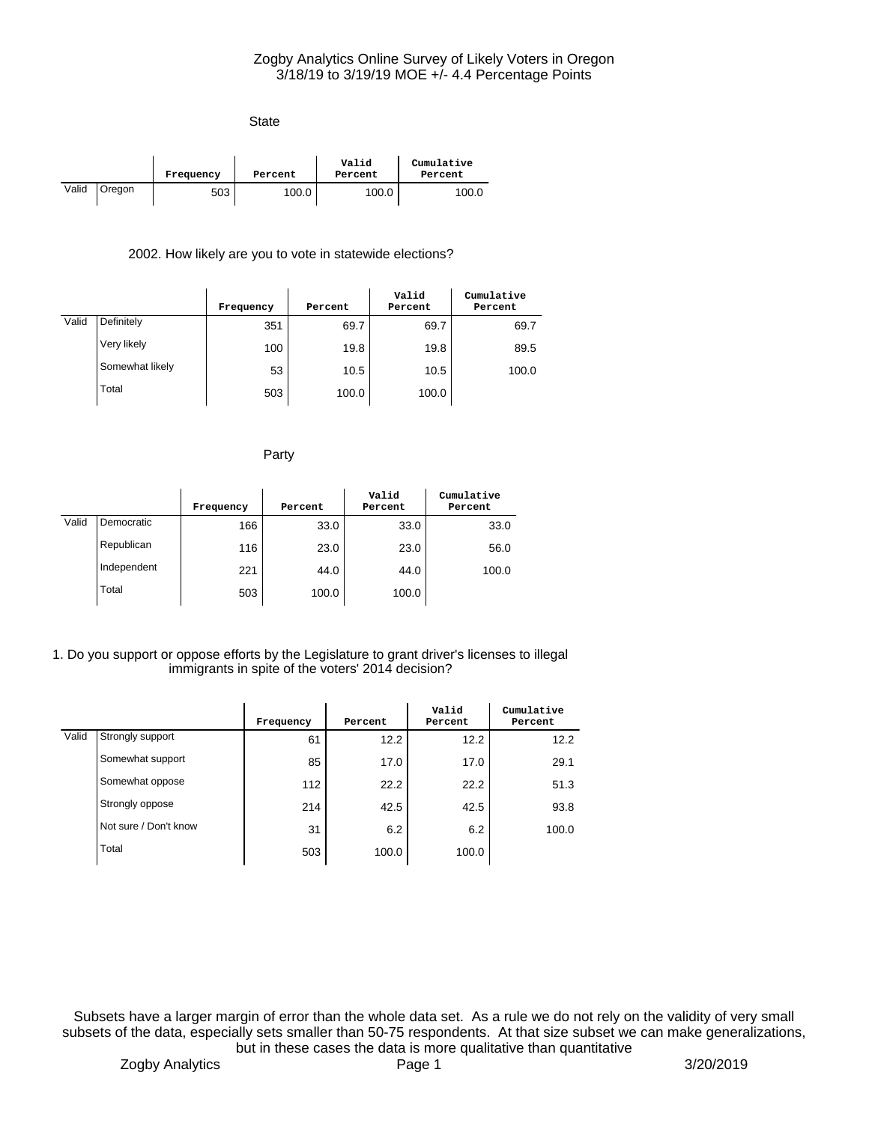| <b>State</b> |        |           |         |                  |                       |
|--------------|--------|-----------|---------|------------------|-----------------------|
|              |        | Frequency | Percent | Valid<br>Percent | Cumulative<br>Percent |
| Valid        | Oregon | 503       | 100.0   | 100.0            | 100.0                 |

## 2002. How likely are you to vote in statewide elections?

|       |                 | Frequency | Percent | Valid<br>Percent | Cumulative<br>Percent |
|-------|-----------------|-----------|---------|------------------|-----------------------|
| Valid | Definitely      | 351       | 69.7    | 69.7             | 69.7                  |
|       | Very likely     | 100       | 19.8    | 19.8             | 89.5                  |
|       | Somewhat likely | 53        | 10.5    | 10.5             | 100.0                 |
|       | Total           | 503       | 100.0   | 100.0            |                       |

Party

|       |             | Frequency | Percent | Valid<br>Percent | Cumulative<br>Percent |
|-------|-------------|-----------|---------|------------------|-----------------------|
| Valid | Democratic  | 166       | 33.0    | 33.0             | 33.0                  |
|       | Republican  | 116       | 23.0    | 23.0             | 56.0                  |
|       | Independent | 221       | 44.0    | 44.0             | 100.0                 |
|       | Total       | 503       | 100.0   | 100.0            |                       |

#### 1. Do you support or oppose efforts by the Legislature to grant driver's licenses to illegal immigrants in spite of the voters' 2014 decision?

|       |                       | Frequency | Percent | Valid<br>Percent | Cumulative<br>Percent |
|-------|-----------------------|-----------|---------|------------------|-----------------------|
| Valid | Strongly support      | 61        | 12.2    | 12.2             | 12.2                  |
|       | Somewhat support      | 85        | 17.0    | 17.0             | 29.1                  |
|       | Somewhat oppose       | 112       | 22.2    | 22.2             | 51.3                  |
|       | Strongly oppose       | 214       | 42.5    | 42.5             | 93.8                  |
|       | Not sure / Don't know | 31        | 6.2     | 6.2              | 100.0                 |
|       | Total                 | 503       | 100.0   | 100.0            |                       |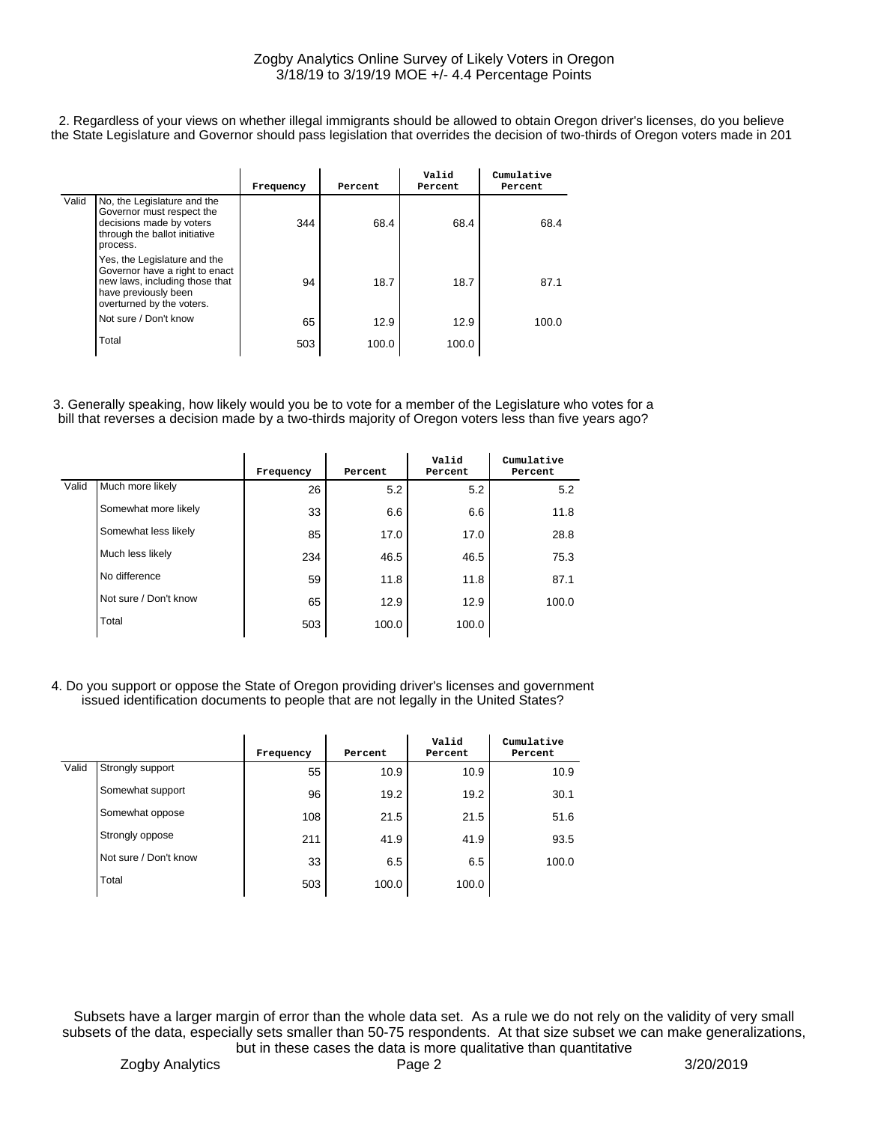2. Regardless of your views on whether illegal immigrants should be allowed to obtain Oregon driver's licenses, do you believe the State Legislature and Governor should pass legislation that overrides the decision of two-thirds of Oregon voters made in 201

|       |                                                                                                                                                       | Frequency | Percent | Valid<br>Percent | Cumulative<br>Percent |
|-------|-------------------------------------------------------------------------------------------------------------------------------------------------------|-----------|---------|------------------|-----------------------|
| Valid | No, the Legislature and the<br>Governor must respect the<br>decisions made by voters<br>through the ballot initiative<br>process.                     | 344       | 68.4    | 68.4             | 68.4                  |
|       | Yes, the Legislature and the<br>Governor have a right to enact<br>new laws, including those that<br>have previously been<br>overturned by the voters. | 94        | 18.7    | 18.7             | 87.1                  |
|       | Not sure / Don't know                                                                                                                                 | 65        | 12.9    | 12.9             | 100.0                 |
|       | Total                                                                                                                                                 | 503       | 100.0   | 100.0            |                       |

3. Generally speaking, how likely would you be to vote for a member of the Legislature who votes for a bill that reverses a decision made by a two-thirds majority of Oregon voters less than five years ago?

|       |                       | Frequency | Percent | Valid<br>Percent | Cumulative<br>Percent |
|-------|-----------------------|-----------|---------|------------------|-----------------------|
| Valid | Much more likely      | 26        | 5.2     | 5.2              | 5.2                   |
|       | Somewhat more likely  | 33        | 6.6     | 6.6              | 11.8                  |
|       | Somewhat less likely  | 85        | 17.0    | 17.0             | 28.8                  |
|       | Much less likely      | 234       | 46.5    | 46.5             | 75.3                  |
|       | No difference         | 59        | 11.8    | 11.8             | 87.1                  |
|       | Not sure / Don't know | 65        | 12.9    | 12.9             | 100.0                 |
|       | Total                 | 503       | 100.0   | 100.0            |                       |

4. Do you support or oppose the State of Oregon providing driver's licenses and government issued identification documents to people that are not legally in the United States?

|       |                       | Frequency | Percent | Valid<br>Percent | Cumulative<br>Percent |
|-------|-----------------------|-----------|---------|------------------|-----------------------|
| Valid | Strongly support      | 55        | 10.9    | 10.9             | 10.9                  |
|       | Somewhat support      | 96        | 19.2    | 19.2             | 30.1                  |
|       | Somewhat oppose       | 108       | 21.5    | 21.5             | 51.6                  |
|       | Strongly oppose       | 211       | 41.9    | 41.9             | 93.5                  |
|       | Not sure / Don't know | 33        | 6.5     | 6.5              | 100.0                 |
|       | Total                 | 503       | 100.0   | 100.0            |                       |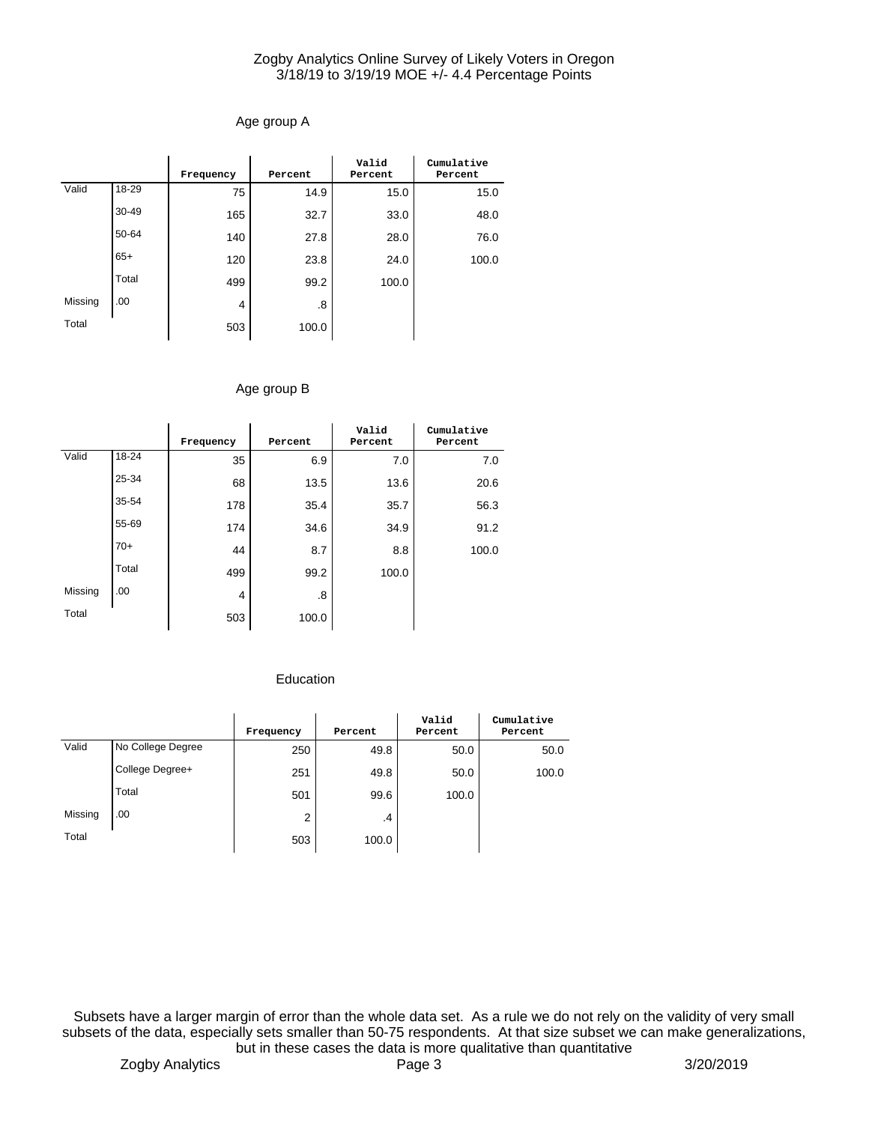# Age group A

|         |           | Frequency | Percent | Valid<br>Percent | Cumulative<br>Percent |
|---------|-----------|-----------|---------|------------------|-----------------------|
| Valid   | 18-29     | 75        | 14.9    | 15.0             | 15.0                  |
|         | $30 - 49$ | 165       | 32.7    | 33.0             | 48.0                  |
|         | 50-64     | 140       | 27.8    | 28.0             | 76.0                  |
|         | $65+$     | 120       | 23.8    | 24.0             | 100.0                 |
|         | Total     | 499       | 99.2    | 100.0            |                       |
| Missing | .00       | 4         | .8      |                  |                       |
| Total   |           | 503       | 100.0   |                  |                       |

## Age group B

|         |       | Frequency | Percent | Valid<br>Percent | Cumulative<br>Percent |
|---------|-------|-----------|---------|------------------|-----------------------|
| Valid   | 18-24 | 35        | 6.9     | 7.0              | 7.0                   |
|         | 25-34 | 68        | 13.5    | 13.6             | 20.6                  |
|         | 35-54 | 178       | 35.4    | 35.7             | 56.3                  |
|         | 55-69 | 174       | 34.6    | 34.9             | 91.2                  |
|         | $70+$ | 44        | 8.7     | 8.8              | 100.0                 |
|         | Total | 499       | 99.2    | 100.0            |                       |
| Missing | .00   | 4         | .8      |                  |                       |
| Total   |       | 503       | 100.0   |                  |                       |

## Education

|         |                   | Frequency | Percent | Valid<br>Percent | Cumulative<br>Percent |
|---------|-------------------|-----------|---------|------------------|-----------------------|
| Valid   | No College Degree | 250       | 49.8    | 50.0             | 50.0                  |
|         | College Degree+   | 251       | 49.8    | 50.0             | 100.0                 |
|         | Total             | 501       | 99.6    | 100.0            |                       |
| Missing | .00               | 2         | .4      |                  |                       |
| Total   |                   | 503       | 100.0   |                  |                       |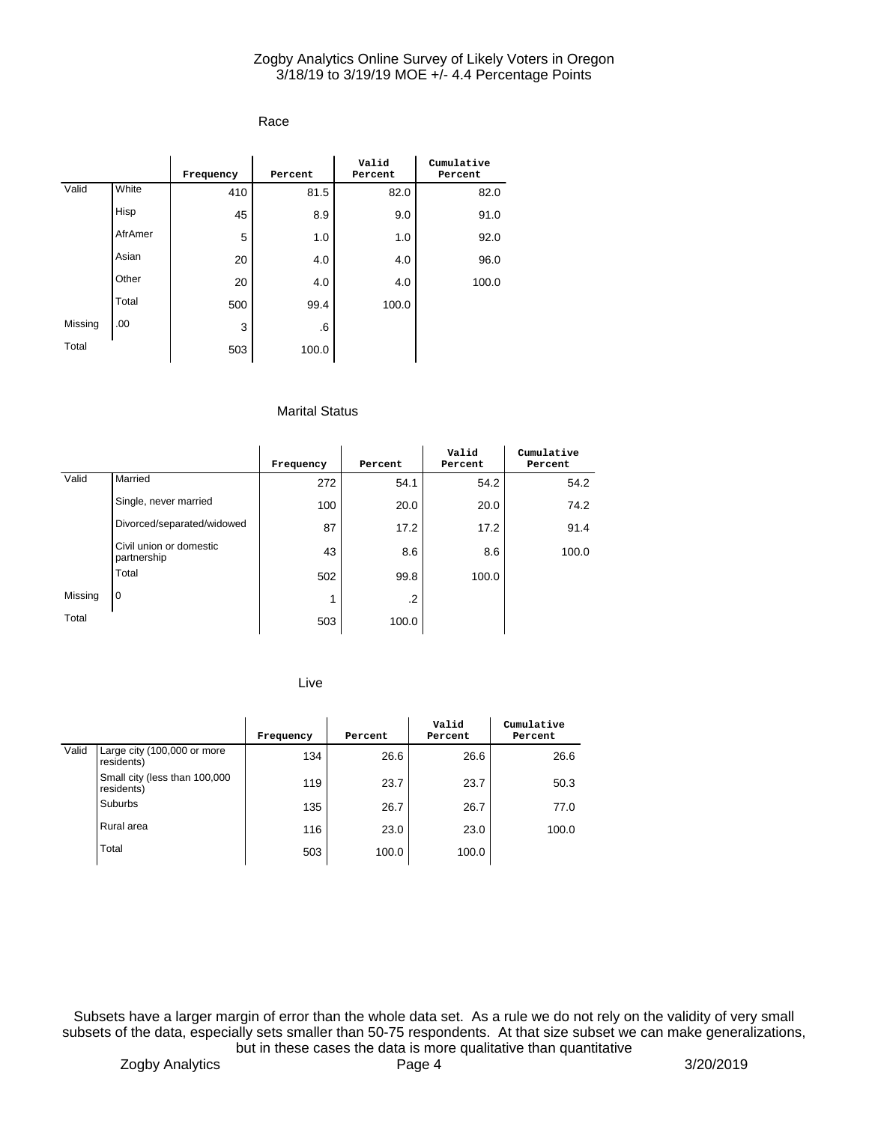## Race

|         |         | Frequency | Percent | Valid<br>Percent | Cumulative<br>Percent |
|---------|---------|-----------|---------|------------------|-----------------------|
| Valid   | White   | 410       | 81.5    | 82.0             | 82.0                  |
|         | Hisp    | 45        | 8.9     | 9.0              | 91.0                  |
|         | AfrAmer | 5         | 1.0     | 1.0              | 92.0                  |
|         | Asian   | 20        | 4.0     | 4.0              | 96.0                  |
|         | Other   | 20        | 4.0     | 4.0              | 100.0                 |
|         | Total   | 500       | 99.4    | 100.0            |                       |
| Missing | .00     | 3         | .6      |                  |                       |
| Total   |         | 503       | 100.0   |                  |                       |

#### Marital Status

|         |                                        | Frequency | Percent | Valid<br>Percent | Cumulative<br>Percent |
|---------|----------------------------------------|-----------|---------|------------------|-----------------------|
| Valid   | Married                                | 272       | 54.1    | 54.2             | 54.2                  |
|         | Single, never married                  | 100       | 20.0    | 20.0             | 74.2                  |
|         | Divorced/separated/widowed             | 87        | 17.2    | 17.2             | 91.4                  |
|         | Civil union or domestic<br>partnership | 43        | 8.6     | 8.6              | 100.0                 |
|         | Total                                  | 502       | 99.8    | 100.0            |                       |
| Missing | l 0                                    | 1         | $\cdot$ |                  |                       |
| Total   |                                        | 503       | 100.0   |                  |                       |

Live

|       |                                             | Frequency | Percent | Valid<br>Percent | Cumulative<br>Percent |
|-------|---------------------------------------------|-----------|---------|------------------|-----------------------|
| Valid | Large city (100,000 or more<br>residents)   | 134       | 26.6    | 26.6             | 26.6                  |
|       | Small city (less than 100,000<br>residents) | 119       | 23.7    | 23.7             | 50.3                  |
|       | Suburbs                                     | 135       | 26.7    | 26.7             | 77.0                  |
|       | Rural area                                  | 116       | 23.0    | 23.0             | 100.0                 |
|       | Total                                       | 503       | 100.0   | 100.0            |                       |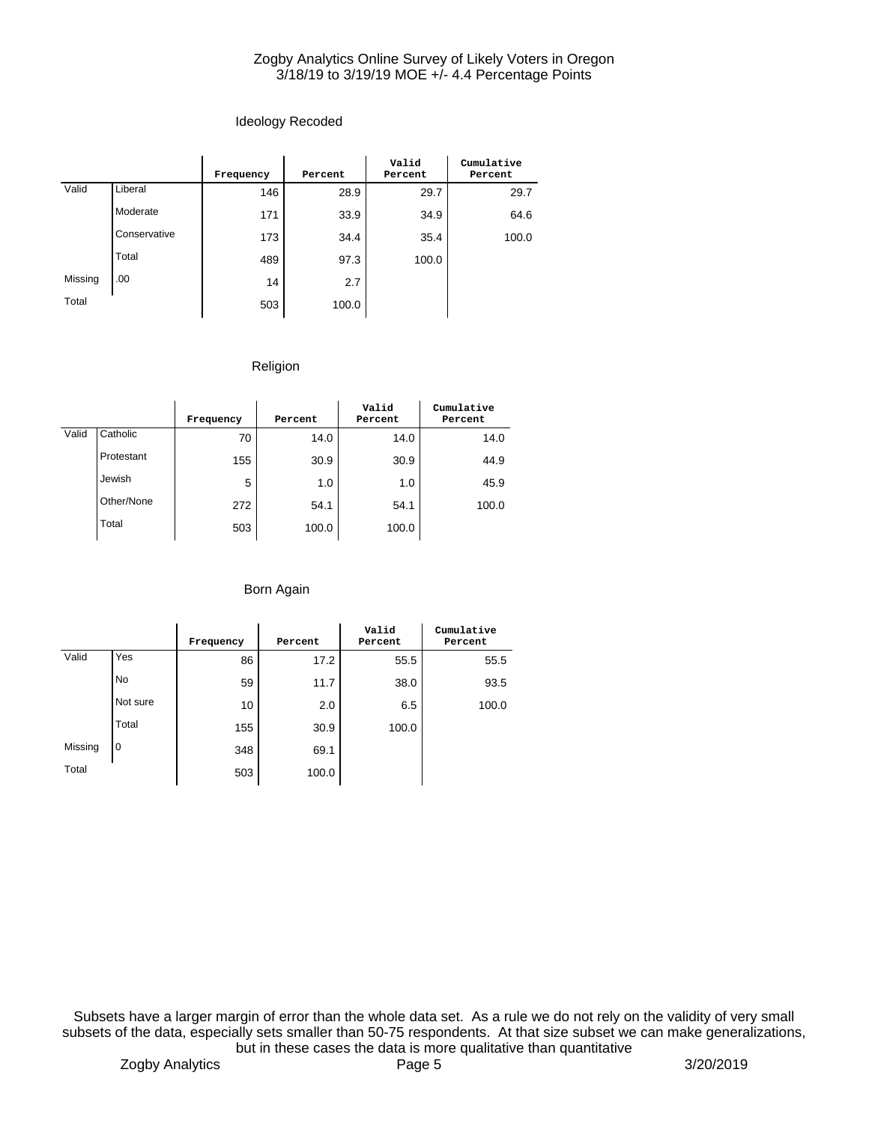# Ideology Recoded

|         |              | Frequency | Percent | Valid<br>Percent | Cumulative<br>Percent |
|---------|--------------|-----------|---------|------------------|-----------------------|
| Valid   | Liberal      | 146       | 28.9    | 29.7             | 29.7                  |
|         | Moderate     | 171       | 33.9    | 34.9             | 64.6                  |
|         | Conservative | 173       | 34.4    | 35.4             | 100.0                 |
|         | Total        | 489       | 97.3    | 100.0            |                       |
| Missing | .00          | 14        | 2.7     |                  |                       |
| Total   |              | 503       | 100.0   |                  |                       |

# Religion

|       |            | Frequency | Percent | Valid<br>Percent | Cumulative<br>Percent |
|-------|------------|-----------|---------|------------------|-----------------------|
| Valid | Catholic   | 70        | 14.0    | 14.0             | 14.0                  |
|       | Protestant | 155       | 30.9    | 30.9             | 44.9                  |
|       | Jewish     | 5         | 1.0     | 1.0              | 45.9                  |
|       | Other/None | 272       | 54.1    | 54.1             | 100.0                 |
|       | Total      | 503       | 100.0   | 100.0            |                       |

# Born Again

|         |                | Frequency | Percent | Valid<br>Percent | Cumulative<br>Percent |
|---------|----------------|-----------|---------|------------------|-----------------------|
| Valid   | Yes            | 86        | 17.2    | 55.5             | 55.5                  |
|         | <b>No</b>      | 59        | 11.7    | 38.0             | 93.5                  |
|         | Not sure       | 10        | 2.0     | 6.5              | 100.0                 |
|         | Total          | 155       | 30.9    | 100.0            |                       |
| Missing | $\overline{0}$ | 348       | 69.1    |                  |                       |
| Total   |                | 503       | 100.0   |                  |                       |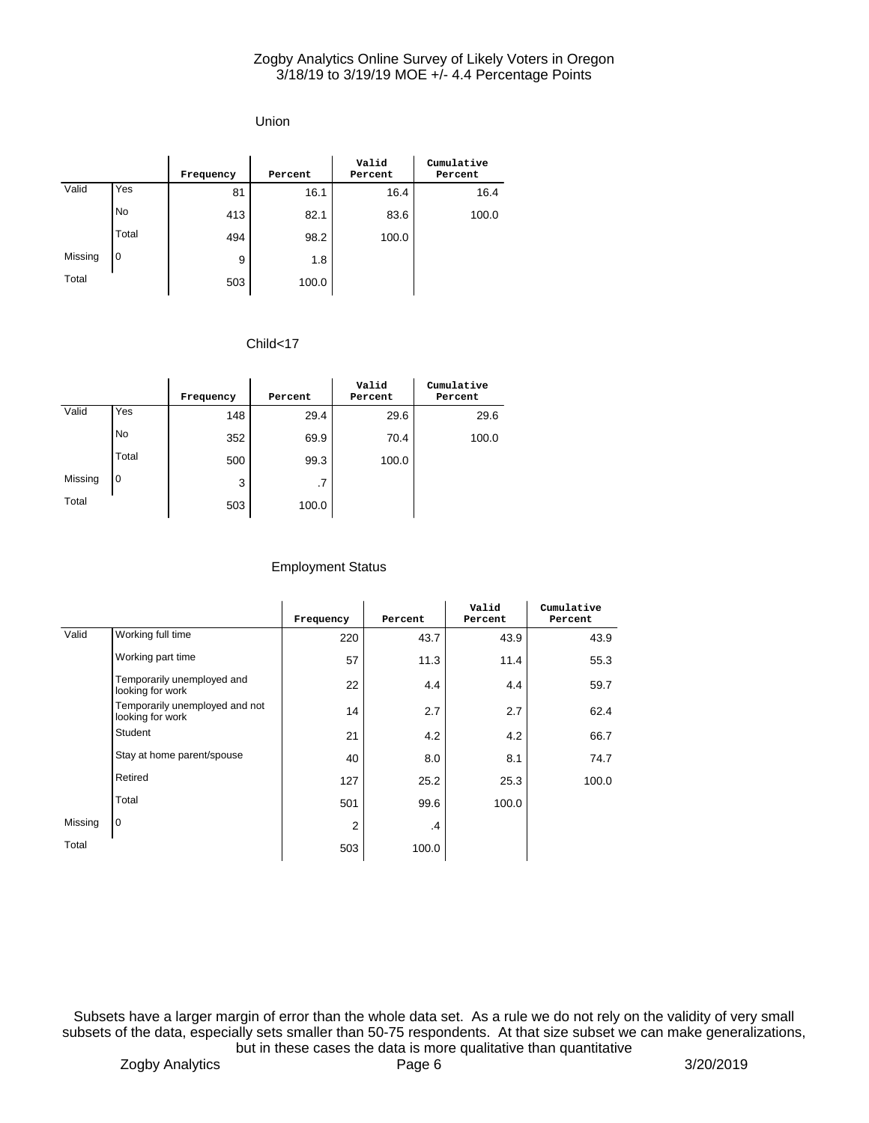## Union

|         |                | Frequency | Percent | Valid<br>Percent | Cumulative<br>Percent |
|---------|----------------|-----------|---------|------------------|-----------------------|
| Valid   | Yes            | 81        | 16.1    | 16.4             | 16.4                  |
|         | <b>No</b>      | 413       | 82.1    | 83.6             | 100.0                 |
|         | Total          | 494       | 98.2    | 100.0            |                       |
| Missing | $\overline{0}$ | 9         | 1.8     |                  |                       |
| Total   |                | 503       | 100.0   |                  |                       |

## Child<17

|         |           | Frequency | Percent | Valid<br>Percent | Cumulative<br>Percent |
|---------|-----------|-----------|---------|------------------|-----------------------|
| Valid   | Yes       | 148       | 29.4    | 29.6             | 29.6                  |
|         | <b>No</b> | 352       | 69.9    | 70.4             | 100.0                 |
|         | Total     | 500       | 99.3    | 100.0            |                       |
| Missing | l 0       | 3         | .7      |                  |                       |
| Total   |           | 503       | 100.0   |                  |                       |

## Employment Status

|         |                                                    | Frequency | Percent | Valid<br>Percent | Cumulative<br>Percent |
|---------|----------------------------------------------------|-----------|---------|------------------|-----------------------|
| Valid   | Working full time                                  | 220       | 43.7    | 43.9             | 43.9                  |
|         | Working part time                                  | 57        | 11.3    | 11.4             | 55.3                  |
|         | Temporarily unemployed and<br>looking for work     | 22        | 4.4     | 4.4              | 59.7                  |
|         | Temporarily unemployed and not<br>looking for work | 14        | 2.7     | 2.7              | 62.4                  |
|         | Student                                            | 21        | 4.2     | 4.2              | 66.7                  |
|         | Stay at home parent/spouse                         | 40        | 8.0     | 8.1              | 74.7                  |
|         | Retired                                            | 127       | 25.2    | 25.3             | 100.0                 |
|         | Total                                              | 501       | 99.6    | 100.0            |                       |
| Missing | $\mathbf 0$                                        | 2         | .4      |                  |                       |
| Total   |                                                    | 503       | 100.0   |                  |                       |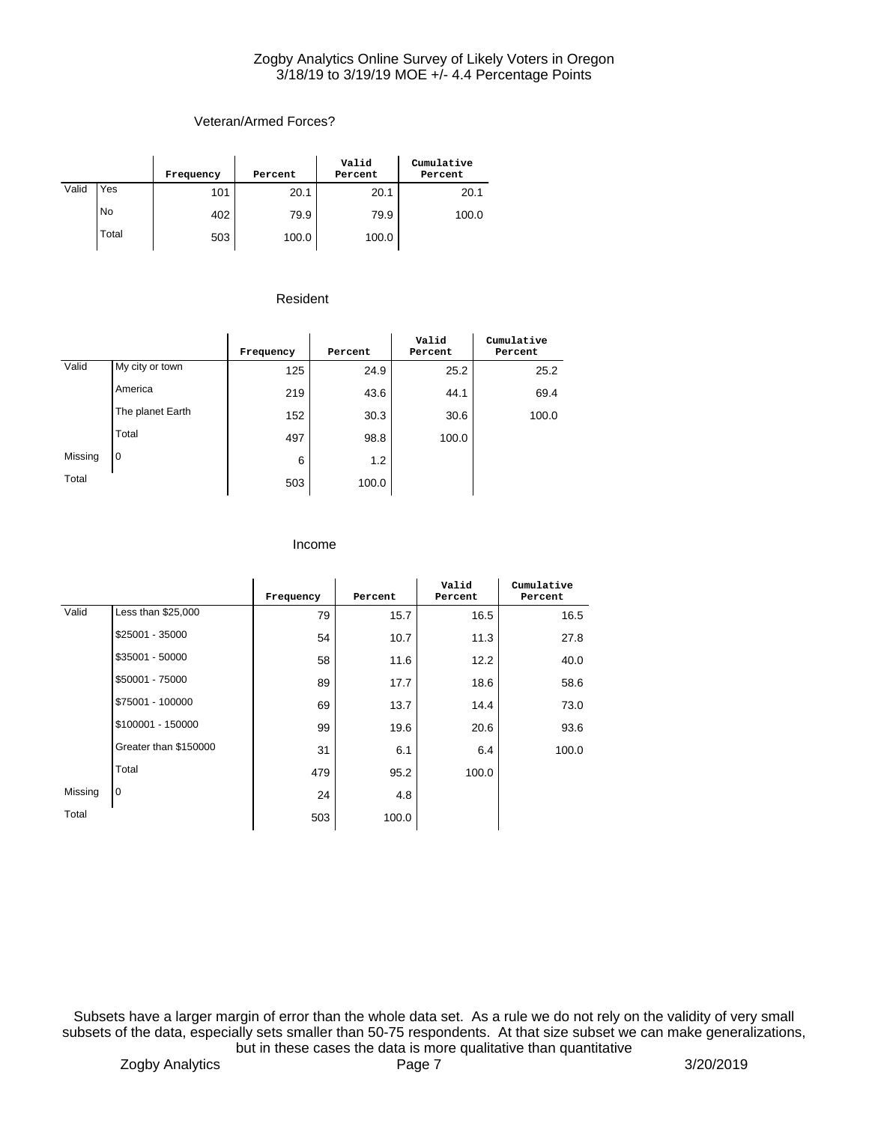# Veteran/Armed Forces?

|       |           | Frequency | Percent | Valid<br>Percent | Cumulative<br>Percent |
|-------|-----------|-----------|---------|------------------|-----------------------|
| Valid | Yes       | 101       | 20.1    | 20.1             | 20.1                  |
|       | <b>No</b> | 402       | 79.9    | 79.9             | 100.0                 |
|       | Total     | 503       | 100.0   | 100.0            |                       |

## Resident

|         |                  | Frequency | Percent | Valid<br>Percent | Cumulative<br>Percent |
|---------|------------------|-----------|---------|------------------|-----------------------|
| Valid   | My city or town  | 125       | 24.9    | 25.2             | 25.2                  |
|         | America          | 219       | 43.6    | 44.1             | 69.4                  |
|         | The planet Earth | 152       | 30.3    | 30.6             | 100.0                 |
|         | Total            | 497       | 98.8    | 100.0            |                       |
| Missing | $\overline{0}$   | 6         | 1.2     |                  |                       |
| Total   |                  | 503       | 100.0   |                  |                       |

#### Income

|         |                       | Frequency | Percent | Valid<br>Percent | Cumulative<br>Percent |
|---------|-----------------------|-----------|---------|------------------|-----------------------|
| Valid   | Less than \$25,000    | 79        | 15.7    | 16.5             | 16.5                  |
|         | \$25001 - 35000       | 54        | 10.7    | 11.3             | 27.8                  |
|         | \$35001 - 50000       | 58        | 11.6    | 12.2             | 40.0                  |
|         | \$50001 - 75000       | 89        | 17.7    | 18.6             | 58.6                  |
|         | \$75001 - 100000      | 69        | 13.7    | 14.4             | 73.0                  |
|         | \$100001 - 150000     | 99        | 19.6    | 20.6             | 93.6                  |
|         | Greater than \$150000 | 31        | 6.1     | 6.4              | 100.0                 |
|         | Total                 | 479       | 95.2    | 100.0            |                       |
| Missing | $\overline{0}$        | 24        | 4.8     |                  |                       |
| Total   |                       | 503       | 100.0   |                  |                       |